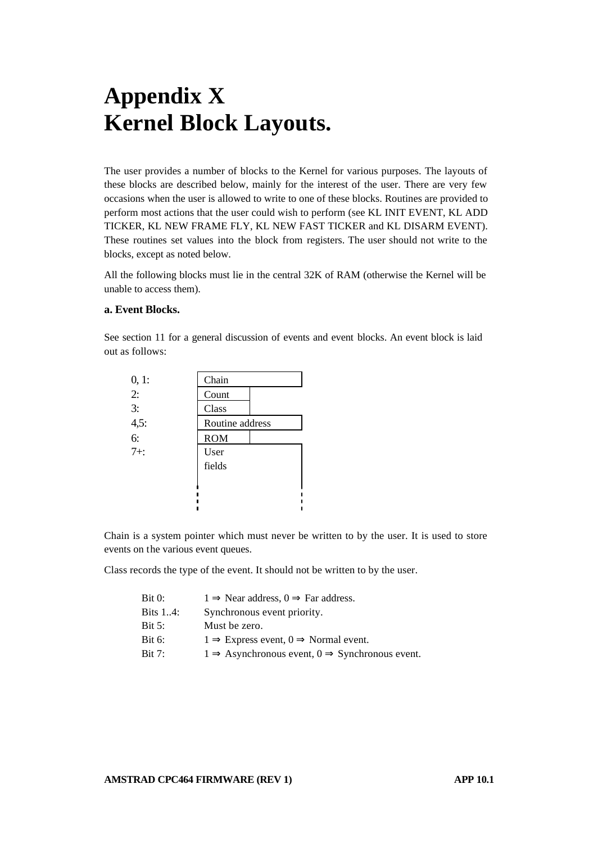# **Appendix X Kernel Block Layouts.**

The user provides a number of blocks to the Kernel for various purposes. The layouts of these blocks are described below, mainly for the interest of the user. There are very few occasions when the user is allowed to write to one of these blocks. Routines are provided to perform most actions that the user could wish to perform (see KL INIT EVENT, KL ADD TICKER, KL NEW FRAME FLY, KL NEW FAST TICKER and KL DISARM EVENT). These routines set values into the block from registers. The user should not write to the blocks, except as noted below.

All the following blocks must lie in the central 32K of RAM (otherwise the Kernel will be unable to access them).

#### **a. Event Blocks.**

See section 11 for a general discussion of events and event blocks. An event block is laid out as follows:

| 0, 1:  | Chain           |  |
|--------|-----------------|--|
| 2:     | Count           |  |
| 3:     | Class           |  |
| 4,5:   | Routine address |  |
| 6:     | <b>ROM</b>      |  |
| $7+$ : | User            |  |
|        | fields          |  |
|        |                 |  |
|        |                 |  |
|        |                 |  |

Chain is a system pointer which must never be written to by the user. It is used to store events on the various event queues.

Class records the type of the event. It should not be written to by the user.

| Bit 0:   | $1 \Rightarrow$ Near address, $0 \Rightarrow$ Far address.             |
|----------|------------------------------------------------------------------------|
| Bits 14: | Synchronous event priority.                                            |
| Bit 5:   | Must be zero.                                                          |
| Bit 6:   | $1 \Rightarrow$ Express event, $0 \Rightarrow$ Normal event.           |
| Bit 7:   | $1 \Rightarrow$ Asynchronous event, $0 \Rightarrow$ Synchronous event. |
|          |                                                                        |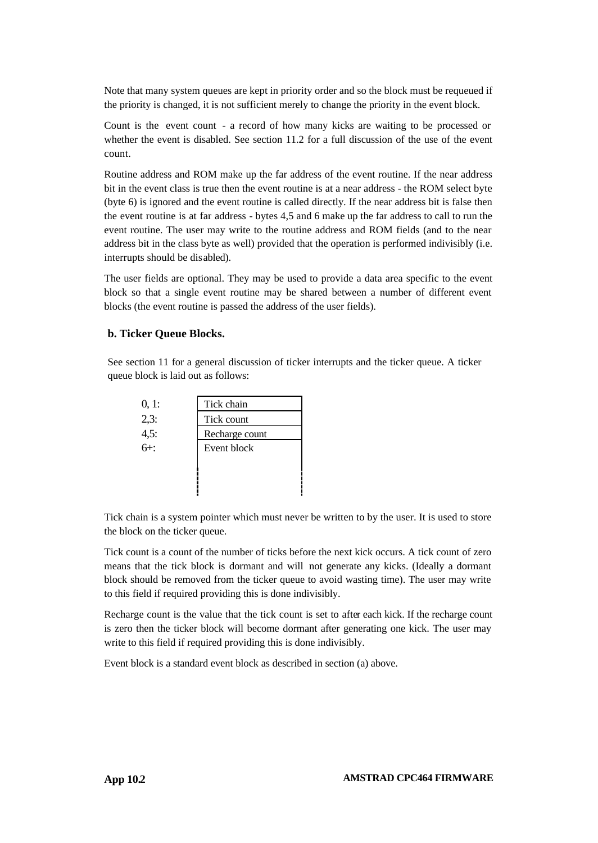Note that many system queues are kept in priority order and so the block must be requeued if the priority is changed, it is not sufficient merely to change the priority in the event block.

Count is the event count - a record of how many kicks are waiting to be processed or whether the event is disabled. See section 11.2 for a full discussion of the use of the event count.

Routine address and ROM make up the far address of the event routine. If the near address bit in the event class is true then the event routine is at a near address - the ROM select byte (byte 6) is ignored and the event routine is called directly. If the near address bit is false then the event routine is at far address - bytes 4,5 and 6 make up the far address to call to run the event routine. The user may write to the routine address and ROM fields (and to the near address bit in the class byte as well) provided that the operation is performed indivisibly (i.e. interrupts should be disabled).

The user fields are optional. They may be used to provide a data area specific to the event block so that a single event routine may be shared between a number of different event blocks (the event routine is passed the address of the user fields).

### **b. Ticker Queue Blocks.**

See section 11 for a general discussion of ticker interrupts and the ticker queue. A ticker queue block is laid out as follows:

| 0, 1:    | Tick chain     |
|----------|----------------|
| 2,3:     | Tick count     |
| $4,5:6+$ | Recharge count |
|          | Event block    |
|          |                |
|          |                |
|          |                |

Tick chain is a system pointer which must never be written to by the user. It is used to store the block on the ticker queue.

Tick count is a count of the number of ticks before the next kick occurs. A tick count of zero means that the tick block is dormant and will not generate any kicks. (Ideally a dormant block should be removed from the ticker queue to avoid wasting time). The user may write to this field if required providing this is done indivisibly.

Recharge count is the value that the tick count is set to after each kick. If the recharge count is zero then the ticker block will become dormant after generating one kick. The user may write to this field if required providing this is done indivisibly.

Event block is a standard event block as described in section (a) above.